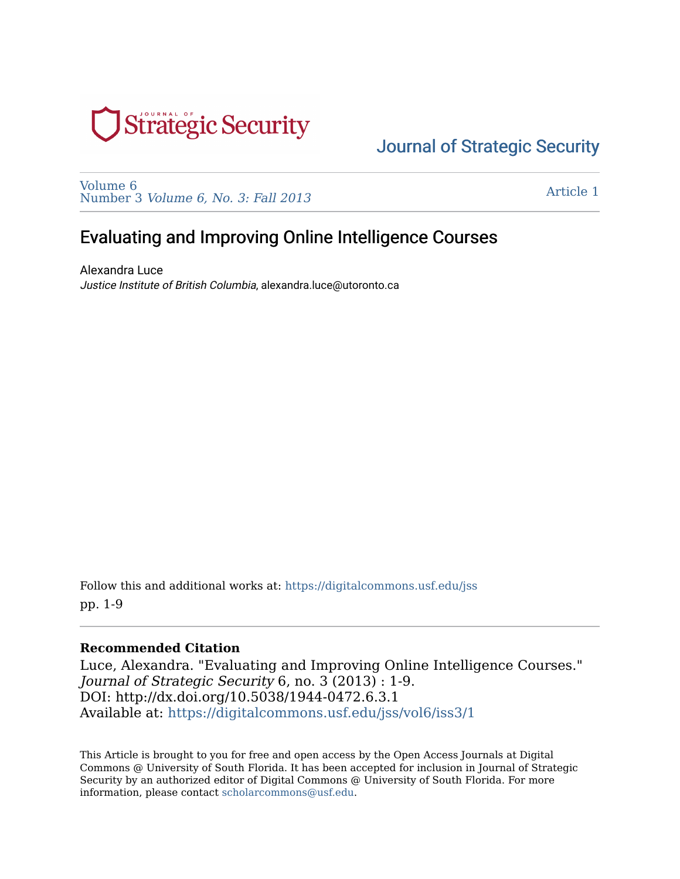

# [Journal of Strategic Security](https://digitalcommons.usf.edu/jss)

[Volume 6](https://digitalcommons.usf.edu/jss/vol6)  Number 3 [Volume 6, No. 3: Fall 2013](https://digitalcommons.usf.edu/jss/vol6/iss3) 

[Article 1](https://digitalcommons.usf.edu/jss/vol6/iss3/1) 

# Evaluating and Improving Online Intelligence Courses

Alexandra Luce Justice Institute of British Columbia, alexandra.luce@utoronto.ca

Follow this and additional works at: [https://digitalcommons.usf.edu/jss](https://digitalcommons.usf.edu/jss?utm_source=digitalcommons.usf.edu%2Fjss%2Fvol6%2Fiss3%2F1&utm_medium=PDF&utm_campaign=PDFCoverPages) pp. 1-9

#### **Recommended Citation**

Luce, Alexandra. "Evaluating and Improving Online Intelligence Courses." Journal of Strategic Security 6, no. 3 (2013) : 1-9. DOI: http://dx.doi.org/10.5038/1944-0472.6.3.1 Available at: [https://digitalcommons.usf.edu/jss/vol6/iss3/1](https://digitalcommons.usf.edu/jss/vol6/iss3/1?utm_source=digitalcommons.usf.edu%2Fjss%2Fvol6%2Fiss3%2F1&utm_medium=PDF&utm_campaign=PDFCoverPages)

This Article is brought to you for free and open access by the Open Access Journals at Digital Commons @ University of South Florida. It has been accepted for inclusion in Journal of Strategic Security by an authorized editor of Digital Commons @ University of South Florida. For more information, please contact [scholarcommons@usf.edu.](mailto:scholarcommons@usf.edu)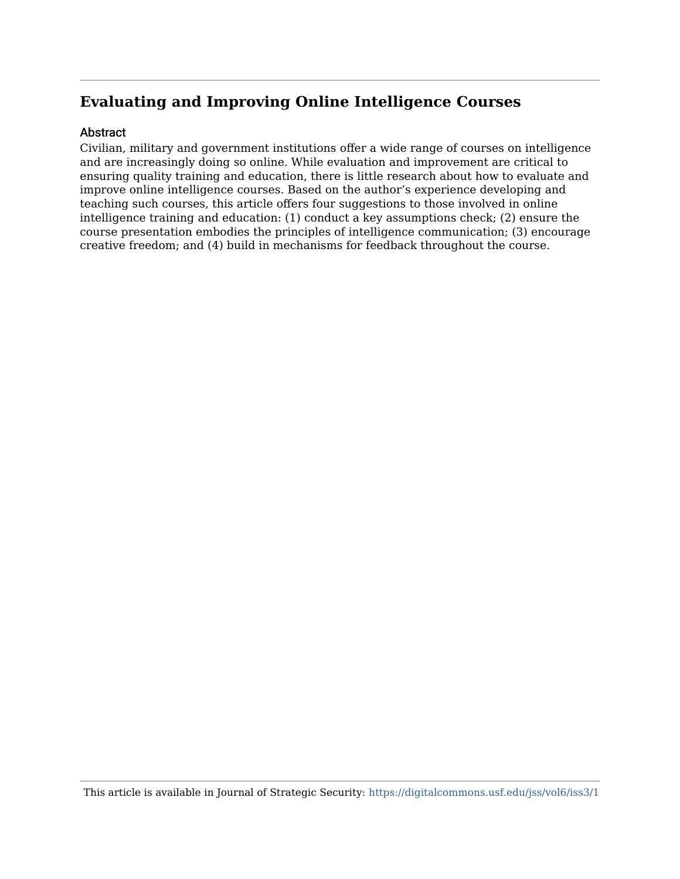# **Evaluating and Improving Online Intelligence Courses**

#### Abstract

Civilian, military and government institutions offer a wide range of courses on intelligence and are increasingly doing so online. While evaluation and improvement are critical to ensuring quality training and education, there is little research about how to evaluate and improve online intelligence courses. Based on the author's experience developing and teaching such courses, this article offers four suggestions to those involved in online intelligence training and education: (1) conduct a key assumptions check; (2) ensure the course presentation embodies the principles of intelligence communication; (3) encourage creative freedom; and (4) build in mechanisms for feedback throughout the course.

This article is available in Journal of Strategic Security: <https://digitalcommons.usf.edu/jss/vol6/iss3/1>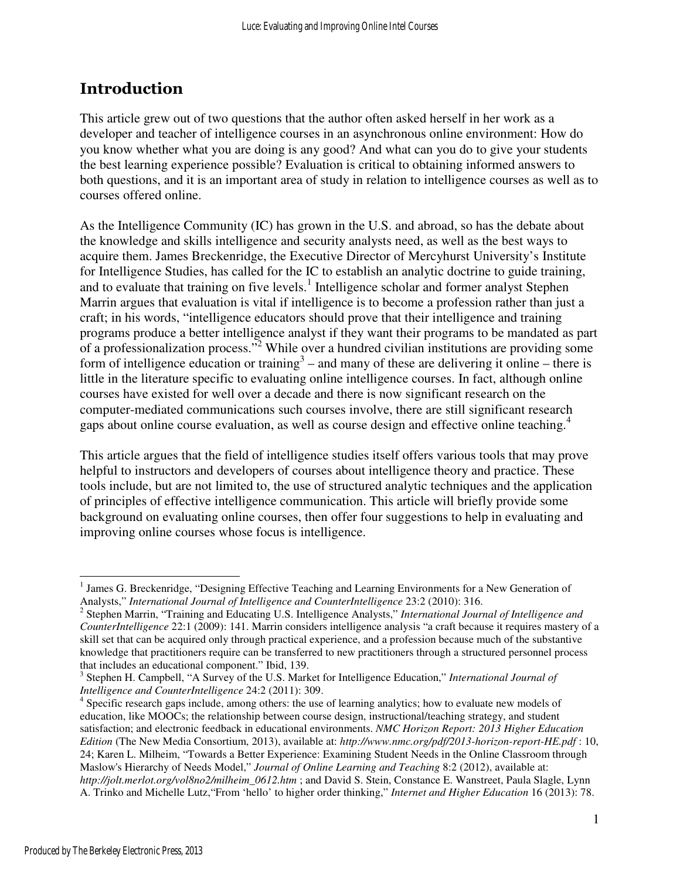## Introduction

This article grew out of two questions that the author often asked herself in her work as a developer and teacher of intelligence courses in an asynchronous online environment: How do you know whether what you are doing is any good? And what can you do to give your students the best learning experience possible? Evaluation is critical to obtaining informed answers to both questions, and it is an important area of study in relation to intelligence courses as well as to courses offered online.

As the Intelligence Community (IC) has grown in the U.S. and abroad, so has the debate about the knowledge and skills intelligence and security analysts need, as well as the best ways to acquire them. James Breckenridge, the Executive Director of Mercyhurst University's Institute for Intelligence Studies, has called for the IC to establish an analytic doctrine to guide training, and to evaluate that training on five levels. $<sup>1</sup>$  Intelligence scholar and former analyst Stephen</sup> Marrin argues that evaluation is vital if intelligence is to become a profession rather than just a craft; in his words, "intelligence educators should prove that their intelligence and training programs produce a better intelligence analyst if they want their programs to be mandated as part of a professionalization process."<sup>2</sup> While over a hundred civilian institutions are providing some form of intelligence education or training<sup>3</sup> – and many of these are delivering it online – there is little in the literature specific to evaluating online intelligence courses. In fact, although online courses have existed for well over a decade and there is now significant research on the computer-mediated communications such courses involve, there are still significant research gaps about online course evaluation, as well as course design and effective online teaching.<sup>4</sup>

This article argues that the field of intelligence studies itself offers various tools that may prove helpful to instructors and developers of courses about intelligence theory and practice. These tools include, but are not limited to, the use of structured analytic techniques and the application of principles of effective intelligence communication. This article will briefly provide some background on evaluating online courses, then offer four suggestions to help in evaluating and improving online courses whose focus is intelligence.

 $\overline{a}$ 

<sup>&</sup>lt;sup>1</sup> James G. Breckenridge, "Designing Effective Teaching and Learning Environments for a New Generation of

Analysts," *International Journal of Intelligence and CounterIntelligence* 23:2 (2010): 316. 2 Stephen Marrin, "Training and Educating U.S. Intelligence Analysts," *International Journal of Intelligence and CounterIntelligence* 22:1 (2009): 141. Marrin considers intelligence analysis "a craft because it requires mastery of a skill set that can be acquired only through practical experience, and a profession because much of the substantive knowledge that practitioners require can be transferred to new practitioners through a structured personnel process that includes an educational component." Ibid, 139.

<sup>3</sup> Stephen H. Campbell, "A Survey of the U.S. Market for Intelligence Education," *International Journal of Intelligence and CounterIntelligence* 24:2 (2011): 309.

<sup>&</sup>lt;sup>4</sup> Specific research gaps include, among others: the use of learning analytics; how to evaluate new models of education, like MOOCs; the relationship between course design, instructional/teaching strategy, and student satisfaction; and electronic feedback in educational environments. *NMC Horizon Report: 2013 Higher Education Edition* (The New Media Consortium, 2013), available at: *http://www.nmc.org/pdf/2013-horizon-report-HE.pdf* : 10, 24; Karen L. Milheim, "Towards a Better Experience: Examining Student Needs in the Online Classroom through Maslow's Hierarchy of Needs Model," *Journal of Online Learning and Teaching* 8:2 (2012), available at: *http://jolt.merlot.org/vol8no2/milheim\_0612.htm* ; and David S. Stein, Constance E. Wanstreet, Paula Slagle, Lynn A. Trinko and Michelle Lutz,"From 'hello' to higher order thinking," *Internet and Higher Education* 16 (2013): 78.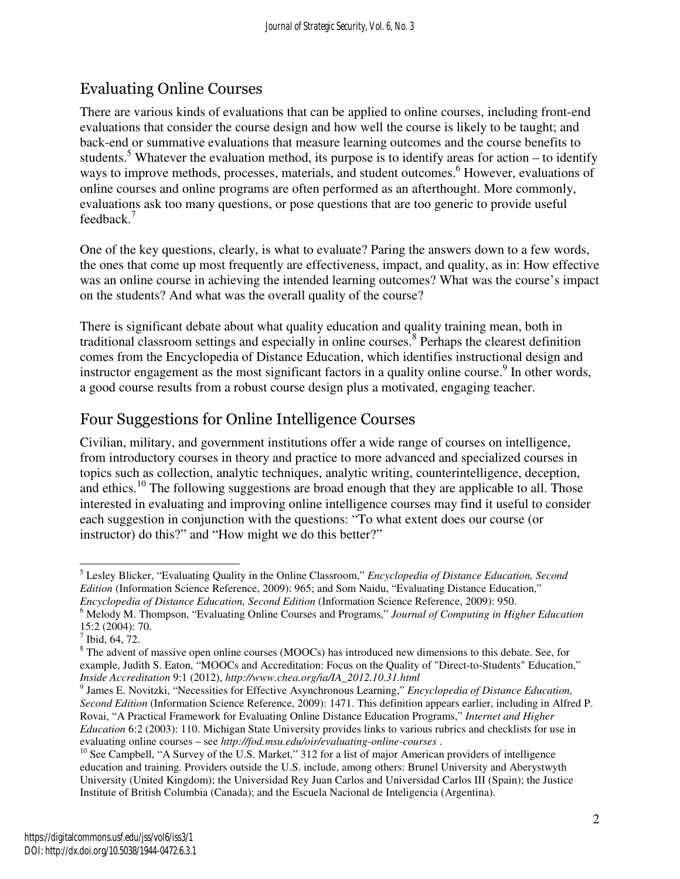# Evaluating Online Courses

There are various kinds of evaluations that can be applied to online courses, including front-end evaluations that consider the course design and how well the course is likely to be taught; and back-end or summative evaluations that measure learning outcomes and the course benefits to students.<sup>5</sup> Whatever the evaluation method, its purpose is to identify areas for action – to identify ways to improve methods, processes, materials, and student outcomes.<sup>6</sup> However, evaluations of online courses and online programs are often performed as an afterthought. More commonly, evaluations ask too many questions, or pose questions that are too generic to provide useful feedback.<sup>7</sup>

One of the key questions, clearly, is what to evaluate? Paring the answers down to a few words, the ones that come up most frequently are effectiveness, impact, and quality, as in: How effective was an online course in achieving the intended learning outcomes? What was the course's impact on the students? And what was the overall quality of the course?

There is significant debate about what quality education and quality training mean, both in traditional classroom settings and especially in online courses.<sup>8</sup> Perhaps the clearest definition comes from the Encyclopedia of Distance Education, which identifies instructional design and instructor engagement as the most significant factors in a quality online course.<sup>9</sup> In other words, a good course results from a robust course design plus a motivated, engaging teacher.

### Four Suggestions for Online Intelligence Courses

Civilian, military, and government institutions offer a wide range of courses on intelligence, from introductory courses in theory and practice to more advanced and specialized courses in topics such as collection, analytic techniques, analytic writing, counterintelligence, deception, and ethics.<sup>10</sup> The following suggestions are broad enough that they are applicable to all. Those interested in evaluating and improving online intelligence courses may find it useful to consider each suggestion in conjunction with the questions: "To what extent does our course (or instructor) do this?" and "How might we do this better?"

<sup>-</sup>5 Lesley Blicker, "Evaluating Quality in the Online Classroom," *Encyclopedia of Distance Education, Second Edition* (Information Science Reference, 2009): 965; and Som Naidu, "Evaluating Distance Education," *Encyclopedia of Distance Education, Second Edition* (Information Science Reference, 2009): 950.

<sup>6</sup> Melody M. Thompson, "Evaluating Online Courses and Programs," *Journal of Computing in Higher Education*

<sup>15:2 (2004): 70.</sup> 

 $<sup>7</sup>$  Ibid, 64, 72.</sup>

<sup>&</sup>lt;sup>8</sup> The advent of massive open online courses (MOOCs) has introduced new dimensions to this debate. See, for example, Judith S. Eaton, "MOOCs and Accreditation: Focus on the Quality of "Direct-to-Students" Education," *Inside Accreditation* 9:1 (2012), *http://www.chea.org/ia/IA\_2012.10.31.html* 

<sup>9</sup> James E. Novitzki, "Necessities for Effective Asynchronous Learning," *Encyclopedia of Distance Education, Second Edition* (Information Science Reference, 2009): 1471. This definition appears earlier, including in Alfred P. Rovai, "A Practical Framework for Evaluating Online Distance Education Programs," *Internet and Higher Education* 6:2 (2003): 110. Michigan State University provides links to various rubrics and checklists for use in evaluating online courses – see *http://fod.msu.edu/oir/evaluating-online-courses* .

 $10$  See Campbell, "A Survey of the U.S. Market," 312 for a list of major American providers of intelligence education and training. Providers outside the U.S. include, among others: Brunel University and Aberystwyth University (United Kingdom); the Universidad Rey Juan Carlos and Universidad Carlos III (Spain); the Justice Institute of British Columbia (Canada); and the Escuela Nacional de Inteligencia (Argentina).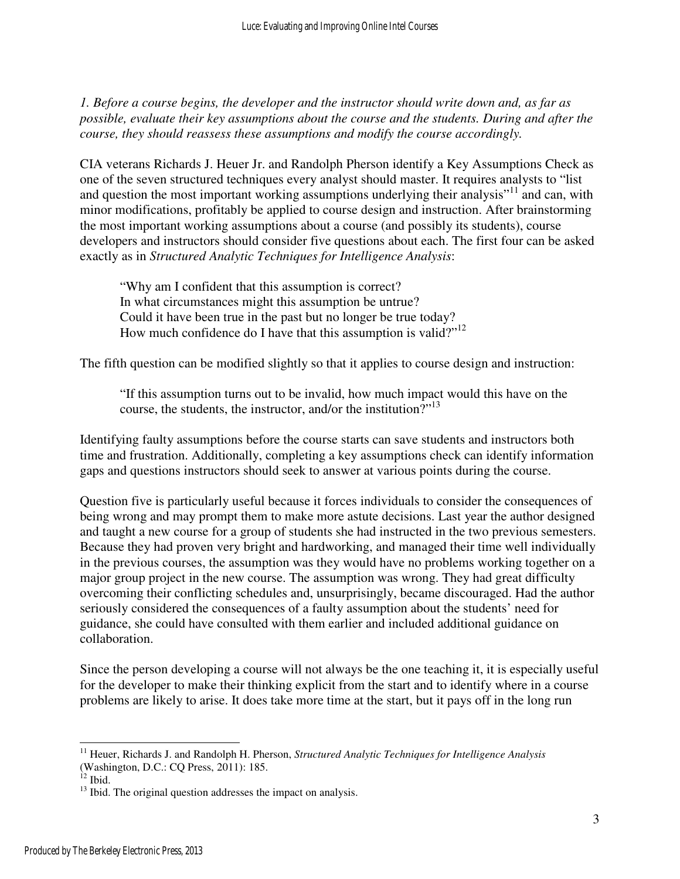*1. Before a course begins, the developer and the instructor should write down and, as far as possible, evaluate their key assumptions about the course and the students. During and after the course, they should reassess these assumptions and modify the course accordingly.* 

CIA veterans Richards J. Heuer Jr. and Randolph Pherson identify a Key Assumptions Check as one of the seven structured techniques every analyst should master. It requires analysts to "list and question the most important working assumptions underlying their analysis"<sup>11</sup> and can, with minor modifications, profitably be applied to course design and instruction. After brainstorming the most important working assumptions about a course (and possibly its students), course developers and instructors should consider five questions about each. The first four can be asked exactly as in *Structured Analytic Techniques for Intelligence Analysis*:

"Why am I confident that this assumption is correct? In what circumstances might this assumption be untrue? Could it have been true in the past but no longer be true today? How much confidence do I have that this assumption is valid?"<sup>12</sup>

The fifth question can be modified slightly so that it applies to course design and instruction:

"If this assumption turns out to be invalid, how much impact would this have on the course, the students, the instructor, and/or the institution?"<sup>13</sup>

Identifying faulty assumptions before the course starts can save students and instructors both time and frustration. Additionally, completing a key assumptions check can identify information gaps and questions instructors should seek to answer at various points during the course.

Question five is particularly useful because it forces individuals to consider the consequences of being wrong and may prompt them to make more astute decisions. Last year the author designed and taught a new course for a group of students she had instructed in the two previous semesters. Because they had proven very bright and hardworking, and managed their time well individually in the previous courses, the assumption was they would have no problems working together on a major group project in the new course. The assumption was wrong. They had great difficulty overcoming their conflicting schedules and, unsurprisingly, became discouraged. Had the author seriously considered the consequences of a faulty assumption about the students' need for guidance, she could have consulted with them earlier and included additional guidance on collaboration.

Since the person developing a course will not always be the one teaching it, it is especially useful for the developer to make their thinking explicit from the start and to identify where in a course problems are likely to arise. It does take more time at the start, but it pays off in the long run

 $\overline{a}$ <sup>11</sup> Heuer, Richards J. and Randolph H. Pherson, *Structured Analytic Techniques for Intelligence Analysis* (Washington, D.C.: CQ Press, 2011): 185.

 $12$  Ibid.

<sup>&</sup>lt;sup>13</sup> Ibid. The original question addresses the impact on analysis.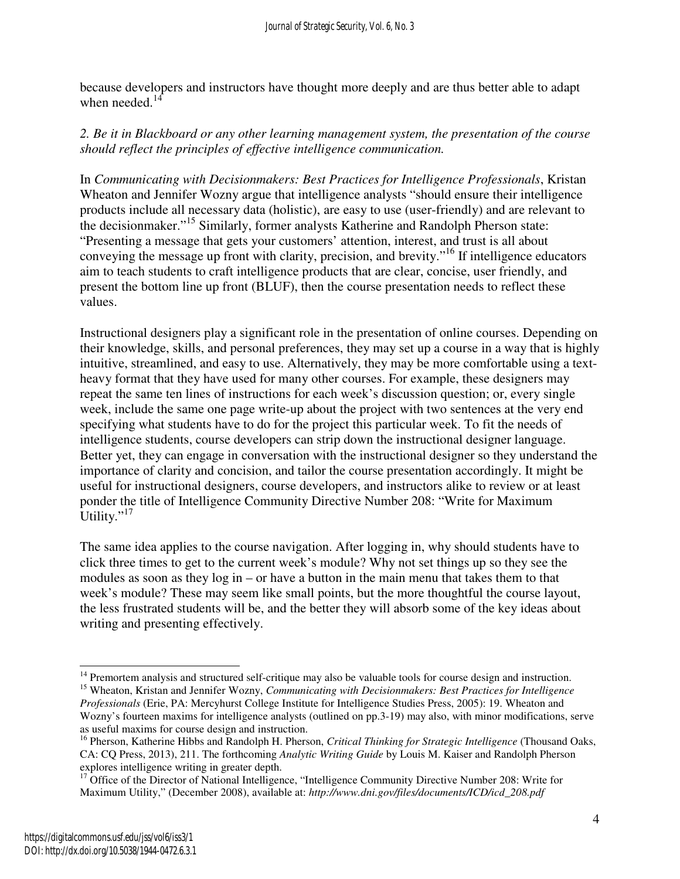because developers and instructors have thought more deeply and are thus better able to adapt when needed. $14$ 

### *2. Be it in Blackboard or any other learning management system, the presentation of the course should reflect the principles of effective intelligence communication.*

In *Communicating with Decisionmakers: Best Practices for Intelligence Professionals*, Kristan Wheaton and Jennifer Wozny argue that intelligence analysts "should ensure their intelligence products include all necessary data (holistic), are easy to use (user-friendly) and are relevant to the decisionmaker."<sup>15</sup> Similarly, former analysts Katherine and Randolph Pherson state: "Presenting a message that gets your customers' attention, interest, and trust is all about conveying the message up front with clarity, precision, and brevity."<sup>16</sup> If intelligence educators aim to teach students to craft intelligence products that are clear, concise, user friendly, and present the bottom line up front (BLUF), then the course presentation needs to reflect these values.

Instructional designers play a significant role in the presentation of online courses. Depending on their knowledge, skills, and personal preferences, they may set up a course in a way that is highly intuitive, streamlined, and easy to use. Alternatively, they may be more comfortable using a textheavy format that they have used for many other courses. For example, these designers may repeat the same ten lines of instructions for each week's discussion question; or, every single week, include the same one page write-up about the project with two sentences at the very end specifying what students have to do for the project this particular week. To fit the needs of intelligence students, course developers can strip down the instructional designer language. Better yet, they can engage in conversation with the instructional designer so they understand the importance of clarity and concision, and tailor the course presentation accordingly. It might be useful for instructional designers, course developers, and instructors alike to review or at least ponder the title of Intelligence Community Directive Number 208: "Write for Maximum Utility." $^{17}$ 

The same idea applies to the course navigation. After logging in, why should students have to click three times to get to the current week's module? Why not set things up so they see the modules as soon as they log in – or have a button in the main menu that takes them to that week's module? These may seem like small points, but the more thoughtful the course layout, the less frustrated students will be, and the better they will absorb some of the key ideas about writing and presenting effectively.

<sup>-</sup><sup>14</sup> Premortem analysis and structured self-critique may also be valuable tools for course design and instruction.

<sup>15</sup> Wheaton, Kristan and Jennifer Wozny, *Communicating with Decisionmakers: Best Practices for Intelligence Professionals* (Erie, PA: Mercyhurst College Institute for Intelligence Studies Press, 2005): 19. Wheaton and Wozny's fourteen maxims for intelligence analysts (outlined on pp.3-19) may also, with minor modifications, serve as useful maxims for course design and instruction.

<sup>16</sup> Pherson, Katherine Hibbs and Randolph H. Pherson, *Critical Thinking for Strategic Intelligence* (Thousand Oaks, CA: CQ Press, 2013), 211. The forthcoming *Analytic Writing Guide* by Louis M. Kaiser and Randolph Pherson explores intelligence writing in greater depth.

<sup>&</sup>lt;sup>17</sup> Office of the Director of National Intelligence, "Intelligence Community Directive Number 208: Write for Maximum Utility," (December 2008), available at: *http://www.dni.gov/files/documents/ICD/icd\_208.pdf*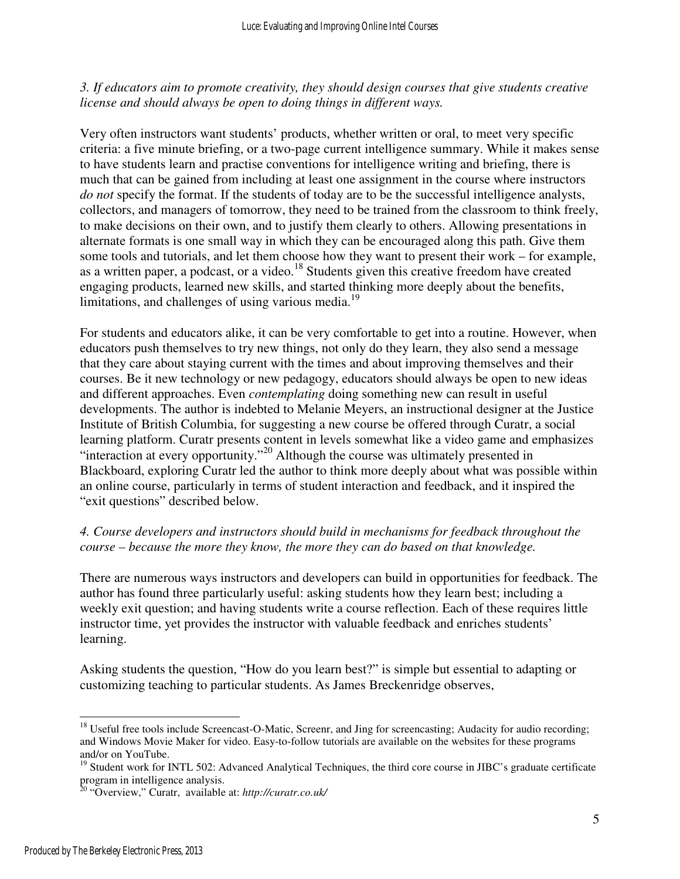*3. If educators aim to promote creativity, they should design courses that give students creative license and should always be open to doing things in different ways.* 

Very often instructors want students' products, whether written or oral, to meet very specific criteria: a five minute briefing, or a two-page current intelligence summary. While it makes sense to have students learn and practise conventions for intelligence writing and briefing, there is much that can be gained from including at least one assignment in the course where instructors *do not* specify the format. If the students of today are to be the successful intelligence analysts, collectors, and managers of tomorrow, they need to be trained from the classroom to think freely, to make decisions on their own, and to justify them clearly to others. Allowing presentations in alternate formats is one small way in which they can be encouraged along this path. Give them some tools and tutorials, and let them choose how they want to present their work – for example, as a written paper, a podcast, or a video.<sup>18</sup> Students given this creative freedom have created engaging products, learned new skills, and started thinking more deeply about the benefits, limitations, and challenges of using various media.<sup>19</sup>

For students and educators alike, it can be very comfortable to get into a routine. However, when educators push themselves to try new things, not only do they learn, they also send a message that they care about staying current with the times and about improving themselves and their courses. Be it new technology or new pedagogy, educators should always be open to new ideas and different approaches. Even *contemplating* doing something new can result in useful developments. The author is indebted to Melanie Meyers, an instructional designer at the Justice Institute of British Columbia, for suggesting a new course be offered through Curatr, a social learning platform. Curatr presents content in levels somewhat like a video game and emphasizes "interaction at every opportunity."<sup>20</sup> Although the course was ultimately presented in Blackboard, exploring Curatr led the author to think more deeply about what was possible within an online course, particularly in terms of student interaction and feedback, and it inspired the "exit questions" described below.

### *4. Course developers and instructors should build in mechanisms for feedback throughout the course – because the more they know, the more they can do based on that knowledge.*

There are numerous ways instructors and developers can build in opportunities for feedback. The author has found three particularly useful: asking students how they learn best; including a weekly exit question; and having students write a course reflection. Each of these requires little instructor time, yet provides the instructor with valuable feedback and enriches students' learning.

Asking students the question, "How do you learn best?" is simple but essential to adapting or customizing teaching to particular students. As James Breckenridge observes,

<sup>-</sup><sup>18</sup> Useful free tools include Screencast-O-Matic, Screenr, and Jing for screencasting; Audacity for audio recording; and Windows Movie Maker for video. Easy-to-follow tutorials are available on the websites for these programs and/or on YouTube.

<sup>&</sup>lt;sup>19</sup> Student work for INTL 502: Advanced Analytical Techniques, the third core course in JIBC's graduate certificate program in intelligence analysis.

<sup>20</sup> "Overview," Curatr, available at: *http://curatr.co.uk/*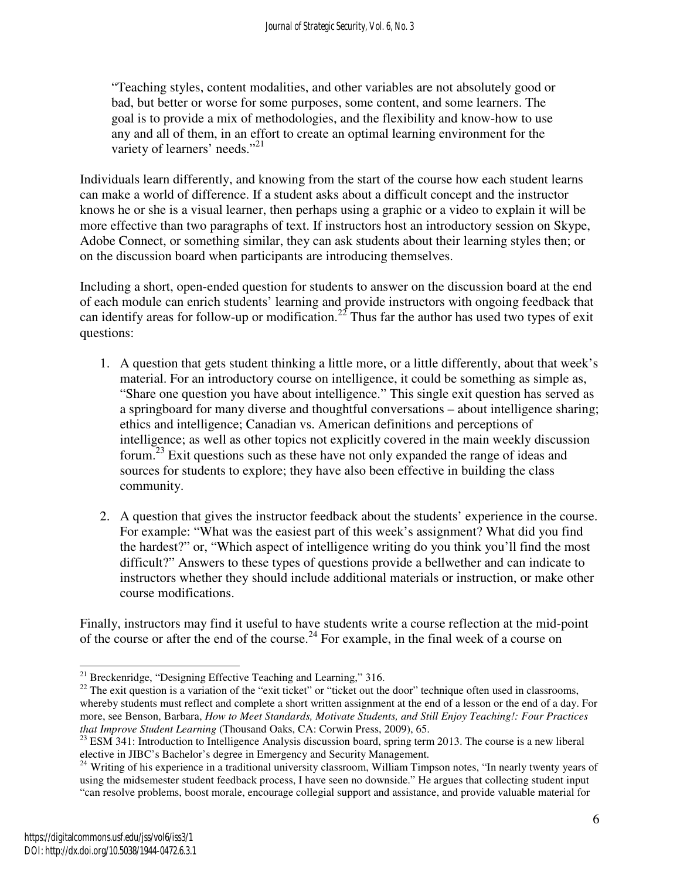"Teaching styles, content modalities, and other variables are not absolutely good or bad, but better or worse for some purposes, some content, and some learners. The goal is to provide a mix of methodologies, and the flexibility and know-how to use any and all of them, in an effort to create an optimal learning environment for the variety of learners' needs."<sup>21</sup>

Individuals learn differently, and knowing from the start of the course how each student learns can make a world of difference. If a student asks about a difficult concept and the instructor knows he or she is a visual learner, then perhaps using a graphic or a video to explain it will be more effective than two paragraphs of text. If instructors host an introductory session on Skype, Adobe Connect, or something similar, they can ask students about their learning styles then; or on the discussion board when participants are introducing themselves.

Including a short, open-ended question for students to answer on the discussion board at the end of each module can enrich students' learning and provide instructors with ongoing feedback that can identify areas for follow-up or modification.<sup>22</sup> Thus far the author has used two types of exit questions:

- 1. A question that gets student thinking a little more, or a little differently, about that week's material. For an introductory course on intelligence, it could be something as simple as, "Share one question you have about intelligence." This single exit question has served as a springboard for many diverse and thoughtful conversations – about intelligence sharing; ethics and intelligence; Canadian vs. American definitions and perceptions of intelligence; as well as other topics not explicitly covered in the main weekly discussion forum.<sup>23</sup> Exit questions such as these have not only expanded the range of ideas and sources for students to explore; they have also been effective in building the class community.
- 2. A question that gives the instructor feedback about the students' experience in the course. For example: "What was the easiest part of this week's assignment? What did you find the hardest?" or, "Which aspect of intelligence writing do you think you'll find the most difficult?" Answers to these types of questions provide a bellwether and can indicate to instructors whether they should include additional materials or instruction, or make other course modifications.

Finally, instructors may find it useful to have students write a course reflection at the mid-point of the course or after the end of the course.<sup>24</sup> For example, in the final week of a course on

 $\overline{a}$  $21$  Breckenridge, "Designing Effective Teaching and Learning," 316.

<sup>&</sup>lt;sup>22</sup> The exit question is a variation of the "exit ticket" or "ticket out the door" technique often used in classrooms, whereby students must reflect and complete a short written assignment at the end of a lesson or the end of a day. For more, see Benson, Barbara, *How to Meet Standards, Motivate Students, and Still Enjoy Teaching!: Four Practices that Improve Student Learning* (Thousand Oaks, CA: Corwin Press, 2009), 65.

 $^{23}$  ESM 341: Introduction to Intelligence Analysis discussion board, spring term 2013. The course is a new liberal elective in JIBC's Bachelor's degree in Emergency and Security Management.

<sup>&</sup>lt;sup>24</sup> Writing of his experience in a traditional university classroom, William Timpson notes, "In nearly twenty years of using the midsemester student feedback process, I have seen no downside." He argues that collecting student input "can resolve problems, boost morale, encourage collegial support and assistance, and provide valuable material for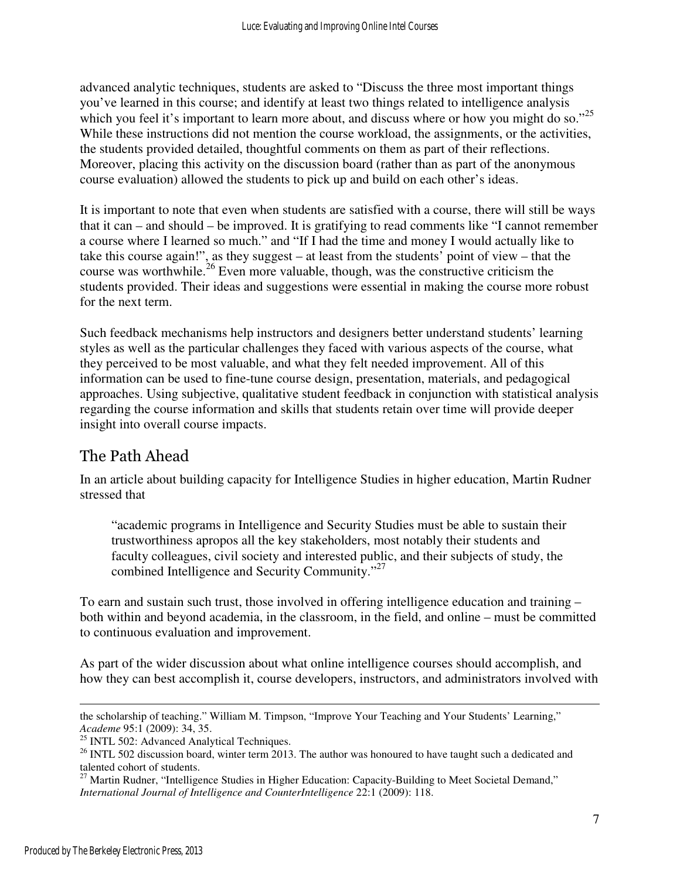advanced analytic techniques, students are asked to "Discuss the three most important things you've learned in this course; and identify at least two things related to intelligence analysis which you feel it's important to learn more about, and discuss where or how you might do so."<sup>25</sup> While these instructions did not mention the course workload, the assignments, or the activities, the students provided detailed, thoughtful comments on them as part of their reflections. Moreover, placing this activity on the discussion board (rather than as part of the anonymous course evaluation) allowed the students to pick up and build on each other's ideas.

It is important to note that even when students are satisfied with a course, there will still be ways that it can – and should – be improved. It is gratifying to read comments like "I cannot remember a course where I learned so much." and "If I had the time and money I would actually like to take this course again!", as they suggest – at least from the students' point of view – that the course was worthwhile.<sup>26</sup> Even more valuable, though, was the constructive criticism the students provided. Their ideas and suggestions were essential in making the course more robust for the next term.

Such feedback mechanisms help instructors and designers better understand students' learning styles as well as the particular challenges they faced with various aspects of the course, what they perceived to be most valuable, and what they felt needed improvement. All of this information can be used to fine-tune course design, presentation, materials, and pedagogical approaches. Using subjective, qualitative student feedback in conjunction with statistical analysis regarding the course information and skills that students retain over time will provide deeper insight into overall course impacts.

## The Path Ahead

In an article about building capacity for Intelligence Studies in higher education, Martin Rudner stressed that

"academic programs in Intelligence and Security Studies must be able to sustain their trustworthiness apropos all the key stakeholders, most notably their students and faculty colleagues, civil society and interested public, and their subjects of study, the combined Intelligence and Security Community."<sup>27</sup>

To earn and sustain such trust, those involved in offering intelligence education and training – both within and beyond academia, in the classroom, in the field, and online – must be committed to continuous evaluation and improvement.

As part of the wider discussion about what online intelligence courses should accomplish, and how they can best accomplish it, course developers, instructors, and administrators involved with

 $\overline{a}$ the scholarship of teaching." William M. Timpson, "Improve Your Teaching and Your Students' Learning," *Academe* 95:1 (2009): 34, 35.

<sup>&</sup>lt;sup>25</sup> INTL 502: Advanced Analytical Techniques.

 $^{26}$  INTL 502 discussion board, winter term 2013. The author was honoured to have taught such a dedicated and talented cohort of students.

 $27$  Martin Rudner, "Intelligence Studies in Higher Education: Capacity-Building to Meet Societal Demand," *International Journal of Intelligence and CounterIntelligence* 22:1 (2009): 118.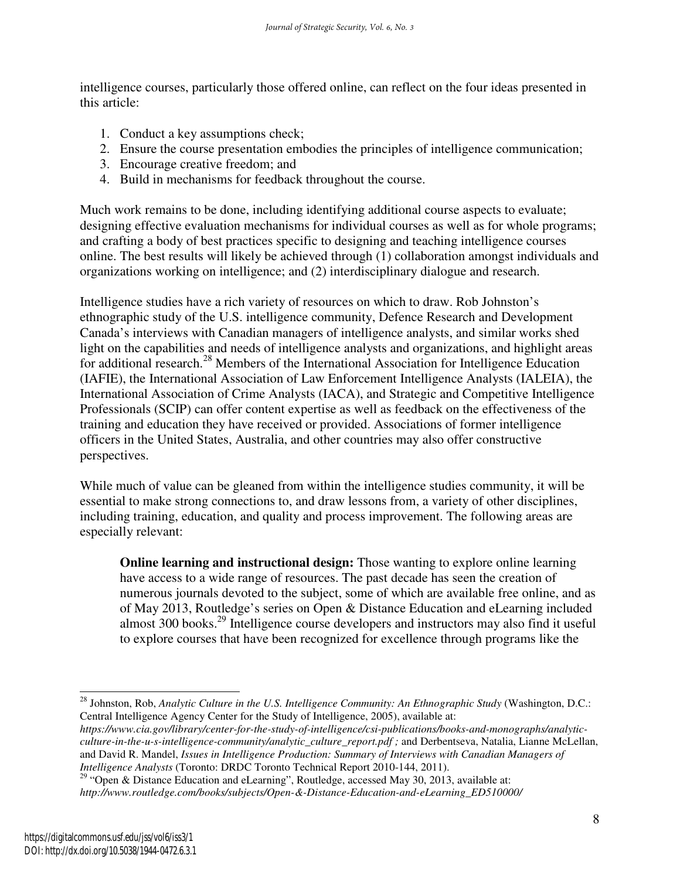intelligence courses, particularly those offered online, can reflect on the four ideas presented in this article:

- 1. Conduct a key assumptions check;
- 2. Ensure the course presentation embodies the principles of intelligence communication;
- 3. Encourage creative freedom; and
- 4. Build in mechanisms for feedback throughout the course.

Much work remains to be done, including identifying additional course aspects to evaluate; designing effective evaluation mechanisms for individual courses as well as for whole programs; and crafting a body of best practices specific to designing and teaching intelligence courses online. The best results will likely be achieved through (1) collaboration amongst individuals and organizations working on intelligence; and (2) interdisciplinary dialogue and research.

Intelligence studies have a rich variety of resources on which to draw. Rob Johnston's ethnographic study of the U.S. intelligence community, Defence Research and Development Canada's interviews with Canadian managers of intelligence analysts, and similar works shed light on the capabilities and needs of intelligence analysts and organizations, and highlight areas for additional research.<sup>28</sup> Members of the International Association for Intelligence Education (IAFIE), the International Association of Law Enforcement Intelligence Analysts (IALEIA), the International Association of Crime Analysts (IACA), and Strategic and Competitive Intelligence Professionals (SCIP) can offer content expertise as well as feedback on the effectiveness of the training and education they have received or provided. Associations of former intelligence officers in the United States, Australia, and other countries may also offer constructive perspectives.

While much of value can be gleaned from within the intelligence studies community, it will be essential to make strong connections to, and draw lessons from, a variety of other disciplines, including training, education, and quality and process improvement. The following areas are especially relevant:

**Online learning and instructional design:** Those wanting to explore online learning have access to a wide range of resources. The past decade has seen the creation of numerous journals devoted to the subject, some of which are available free online, and as of May 2013, Routledge's series on Open & Distance Education and eLearning included almost 300 books.<sup>29</sup> Intelligence course developers and instructors may also find it useful to explore courses that have been recognized for excellence through programs like the

*https://www.cia.gov/library/center-for-the-study-of-intelligence/csi-publications/books-and-monographs/analyticculture-in-the-u-s-intelligence-community/analytic\_culture\_report.pdf ;* and Derbentseva, Natalia, Lianne McLellan, and David R. Mandel, *Issues in Intelligence Production: Summary of Interviews with Canadian Managers of Intelligence Analysts* (Toronto: DRDC Toronto Technical Report 2010-144, 2011).

 $\overline{a}$ <sup>28</sup> Johnston, Rob, *Analytic Culture in the U.S. Intelligence Community: An Ethnographic Study* (Washington, D.C.: Central Intelligence Agency Center for the Study of Intelligence, 2005), available at:

<sup>&</sup>lt;sup>29</sup> "Open & Distance Education and eLearning", Routledge, accessed May 30, 2013, available at: *http://www.routledge.com/books/subjects/Open-&-Distance-Education-and-eLearning\_ED510000/*